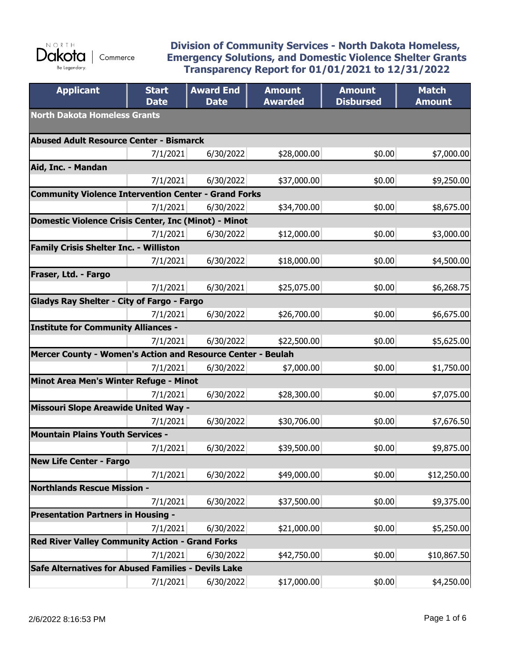

#### **Division of Community Services - North Dakota Homeless, Emergency Solutions, and Domestic Violence Shelter Grants Transparency Report for 01/01/2021 to 12/31/2022**

| <b>Applicant</b>                                            | <b>Start</b><br><b>Date</b> | <b>Award End</b><br><b>Date</b> | <b>Amount</b><br><b>Awarded</b> | <b>Amount</b><br><b>Disbursed</b> | <b>Match</b><br><b>Amount</b> |  |
|-------------------------------------------------------------|-----------------------------|---------------------------------|---------------------------------|-----------------------------------|-------------------------------|--|
| <b>North Dakota Homeless Grants</b>                         |                             |                                 |                                 |                                   |                               |  |
| Abused Adult Resource Center - Bismarck                     |                             |                                 |                                 |                                   |                               |  |
|                                                             | 7/1/2021                    | 6/30/2022                       | \$28,000.00                     | \$0.00                            | \$7,000.00                    |  |
| Aid, Inc. - Mandan                                          |                             |                                 |                                 |                                   |                               |  |
|                                                             | 7/1/2021                    | 6/30/2022                       | \$37,000.00                     | \$0.00                            | \$9,250.00                    |  |
| <b>Community Violence Intervention Center - Grand Forks</b> |                             |                                 |                                 |                                   |                               |  |
|                                                             | 7/1/2021                    | 6/30/2022                       | \$34,700.00                     | \$0.00                            | \$8,675.00                    |  |
| Domestic Violence Crisis Center, Inc (Minot) - Minot        |                             |                                 |                                 |                                   |                               |  |
|                                                             | 7/1/2021                    | 6/30/2022                       | \$12,000.00                     | \$0.00                            | \$3,000.00                    |  |
| <b>Family Crisis Shelter Inc. - Williston</b>               |                             |                                 |                                 |                                   |                               |  |
|                                                             | 7/1/2021                    | 6/30/2022                       | \$18,000.00                     | \$0.00                            | \$4,500.00                    |  |
| Fraser, Ltd. - Fargo                                        |                             |                                 |                                 |                                   |                               |  |
|                                                             | 7/1/2021                    | 6/30/2021                       | \$25,075.00                     | \$0.00                            | \$6,268.75                    |  |
| Gladys Ray Shelter - City of Fargo - Fargo                  |                             |                                 |                                 |                                   |                               |  |
|                                                             | 7/1/2021                    | 6/30/2022                       | \$26,700.00                     | \$0.00                            | \$6,675.00                    |  |
| <b>Institute for Community Alliances -</b>                  |                             |                                 |                                 |                                   |                               |  |
|                                                             | 7/1/2021                    | 6/30/2022                       | \$22,500.00                     | \$0.00                            | \$5,625.00                    |  |
| Mercer County - Women's Action and Resource Center - Beulah |                             |                                 |                                 |                                   |                               |  |
|                                                             | 7/1/2021                    | 6/30/2022                       | \$7,000.00                      | \$0.00                            | \$1,750.00                    |  |
| Minot Area Men's Winter Refuge - Minot                      |                             |                                 |                                 |                                   |                               |  |
|                                                             | 7/1/2021                    | 6/30/2022                       | \$28,300.00                     | \$0.00                            | \$7,075.00                    |  |
| <b>Missouri Slope Areawide United Way -</b>                 |                             |                                 |                                 |                                   |                               |  |
|                                                             | 7/1/2021                    | 6/30/2022                       | \$30,706.00                     | \$0.00                            | \$7,676.50                    |  |
| <b>Mountain Plains Youth Services -</b>                     |                             |                                 |                                 |                                   |                               |  |
|                                                             | 7/1/2021                    | 6/30/2022                       | \$39,500.00                     | \$0.00                            | \$9,875.00                    |  |
| <b>New Life Center - Fargo</b>                              |                             |                                 |                                 |                                   |                               |  |
|                                                             | 7/1/2021                    | 6/30/2022                       | \$49,000.00                     | \$0.00                            | \$12,250.00                   |  |
| <b>Northlands Rescue Mission -</b>                          |                             |                                 |                                 |                                   |                               |  |
|                                                             | 7/1/2021                    | 6/30/2022                       | \$37,500.00                     | \$0.00                            | \$9,375.00                    |  |
| <b>Presentation Partners in Housing -</b>                   |                             |                                 |                                 |                                   |                               |  |
|                                                             | 7/1/2021                    | 6/30/2022                       | \$21,000.00                     | \$0.00                            | \$5,250.00                    |  |
| <b>Red River Valley Community Action - Grand Forks</b>      |                             |                                 |                                 |                                   |                               |  |
|                                                             | 7/1/2021                    | 6/30/2022                       | \$42,750.00                     | \$0.00                            | \$10,867.50                   |  |
| Safe Alternatives for Abused Families - Devils Lake         |                             |                                 |                                 |                                   |                               |  |
|                                                             | 7/1/2021                    | 6/30/2022                       | \$17,000.00                     | \$0.00                            | \$4,250.00                    |  |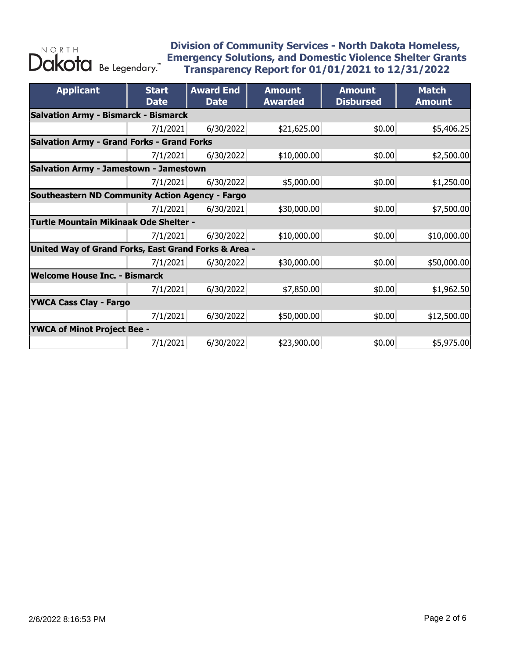| <b>Applicant</b>                                  | <b>Start</b><br><b>Date</b>                          | <b>Award End</b><br><b>Date</b> | <b>Amount</b><br><b>Awarded</b> | <b>Amount</b><br><b>Disbursed</b> | <b>Match</b><br><b>Amount</b> |  |  |  |
|---------------------------------------------------|------------------------------------------------------|---------------------------------|---------------------------------|-----------------------------------|-------------------------------|--|--|--|
|                                                   | <b>Salvation Army - Bismarck - Bismarck</b>          |                                 |                                 |                                   |                               |  |  |  |
|                                                   | 7/1/2021                                             | 6/30/2022                       | \$21,625.00                     | \$0.00                            | \$5,406.25                    |  |  |  |
| <b>Salvation Army - Grand Forks - Grand Forks</b> |                                                      |                                 |                                 |                                   |                               |  |  |  |
|                                                   | 7/1/2021                                             | 6/30/2022                       | \$10,000.00                     | \$0.00                            | \$2,500.00                    |  |  |  |
| <b>Salvation Army - Jamestown - Jamestown</b>     |                                                      |                                 |                                 |                                   |                               |  |  |  |
|                                                   | 7/1/2021                                             | 6/30/2022                       | \$5,000.00                      | \$0.00                            | \$1,250.00                    |  |  |  |
| Southeastern ND Community Action Agency - Fargo   |                                                      |                                 |                                 |                                   |                               |  |  |  |
|                                                   | 7/1/2021                                             | 6/30/2021                       | \$30,000.00                     | \$0.00                            | \$7,500.00                    |  |  |  |
| Turtle Mountain Mikinaak Ode Shelter -            |                                                      |                                 |                                 |                                   |                               |  |  |  |
|                                                   | 7/1/2021                                             | 6/30/2022                       | \$10,000.00                     | \$0.00                            | \$10,000.00                   |  |  |  |
|                                                   | United Way of Grand Forks, East Grand Forks & Area - |                                 |                                 |                                   |                               |  |  |  |
|                                                   | 7/1/2021                                             | 6/30/2022                       | \$30,000.00                     | \$0.00                            | \$50,000.00                   |  |  |  |
| <b>Welcome House Inc. - Bismarck</b>              |                                                      |                                 |                                 |                                   |                               |  |  |  |
|                                                   | 7/1/2021                                             | 6/30/2022                       | \$7,850.00                      | \$0.00                            | \$1,962.50                    |  |  |  |
| <b>YWCA Cass Clay - Fargo</b>                     |                                                      |                                 |                                 |                                   |                               |  |  |  |
|                                                   | 7/1/2021                                             | 6/30/2022                       | \$50,000.00                     | \$0.00                            | \$12,500.00                   |  |  |  |
| <b>YWCA of Minot Project Bee -</b>                |                                                      |                                 |                                 |                                   |                               |  |  |  |
|                                                   | 7/1/2021                                             | 6/30/2022                       | \$23,900.00                     | \$0.00                            | \$5,975.00                    |  |  |  |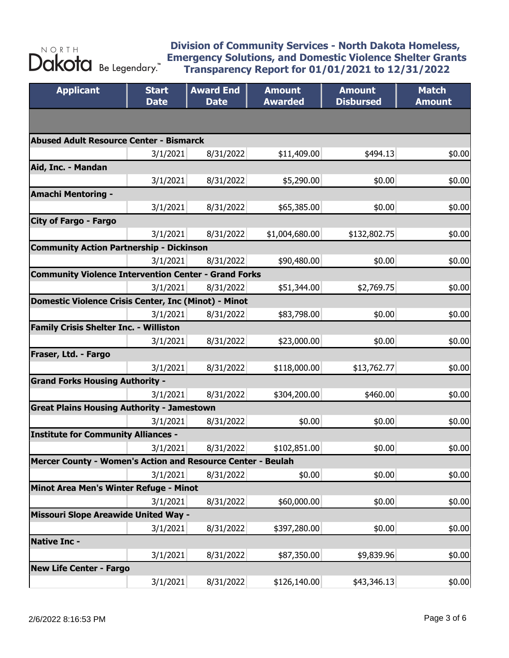| <b>Applicant</b>                                            | <b>Start</b><br><b>Date</b> | <b>Award End</b><br><b>Date</b> | <b>Amount</b><br><b>Awarded</b> | <b>Amount</b><br><b>Disbursed</b> | <b>Match</b><br><b>Amount</b> |
|-------------------------------------------------------------|-----------------------------|---------------------------------|---------------------------------|-----------------------------------|-------------------------------|
|                                                             |                             |                                 |                                 |                                   |                               |
| <b>Abused Adult Resource Center - Bismarck</b>              |                             |                                 |                                 |                                   |                               |
|                                                             | 3/1/2021                    | 8/31/2022                       | \$11,409.00                     | \$494.13                          | \$0.00                        |
| Aid, Inc. - Mandan                                          |                             |                                 |                                 |                                   |                               |
|                                                             | 3/1/2021                    | 8/31/2022                       | \$5,290.00                      | \$0.00                            | \$0.00                        |
| <b>Amachi Mentoring -</b>                                   |                             |                                 |                                 |                                   |                               |
|                                                             | 3/1/2021                    | 8/31/2022                       | \$65,385.00                     | \$0.00                            | \$0.00                        |
| <b>City of Fargo - Fargo</b>                                |                             |                                 |                                 |                                   |                               |
|                                                             | 3/1/2021                    | 8/31/2022                       | \$1,004,680.00                  | \$132,802.75                      | \$0.00                        |
| <b>Community Action Partnership - Dickinson</b>             |                             |                                 |                                 |                                   |                               |
|                                                             | 3/1/2021                    | 8/31/2022                       | \$90,480.00                     | \$0.00                            | \$0.00                        |
| <b>Community Violence Intervention Center - Grand Forks</b> |                             |                                 |                                 |                                   |                               |
|                                                             | 3/1/2021                    | 8/31/2022                       | \$51,344.00                     | \$2,769.75                        | \$0.00                        |
| Domestic Violence Crisis Center, Inc (Minot) - Minot        |                             |                                 |                                 |                                   |                               |
|                                                             | 3/1/2021                    | 8/31/2022                       | \$83,798.00                     | \$0.00                            | \$0.00                        |
| <b>Family Crisis Shelter Inc. - Williston</b>               |                             |                                 |                                 |                                   |                               |
|                                                             | 3/1/2021                    | 8/31/2022                       | \$23,000.00                     | \$0.00                            | \$0.00                        |
| Fraser, Ltd. - Fargo                                        |                             |                                 |                                 |                                   |                               |
|                                                             | 3/1/2021                    | 8/31/2022                       | \$118,000.00                    | \$13,762.77                       | \$0.00                        |
| <b>Grand Forks Housing Authority -</b>                      |                             |                                 |                                 |                                   |                               |
|                                                             | 3/1/2021                    | 8/31/2022                       | \$304,200.00                    | \$460.00                          | \$0.00                        |
| <b>Great Plains Housing Authority - Jamestown</b>           |                             |                                 |                                 |                                   |                               |
|                                                             | 3/1/2021                    | 8/31/2022                       | \$0.00                          | \$0.00                            | \$0.00]                       |
| <b>Institute for Community Alliances -</b>                  |                             |                                 |                                 |                                   |                               |
|                                                             | 3/1/2021                    | 8/31/2022                       | \$102,851.00                    | \$0.00                            | \$0.00                        |
| Mercer County - Women's Action and Resource Center - Beulah |                             |                                 |                                 |                                   |                               |
|                                                             | 3/1/2021                    | 8/31/2022                       | \$0.00                          | \$0.00                            | \$0.00                        |
| Minot Area Men's Winter Refuge - Minot                      |                             |                                 |                                 |                                   |                               |
|                                                             | 3/1/2021                    | 8/31/2022                       | \$60,000.00                     | \$0.00                            | \$0.00                        |
| Missouri Slope Areawide United Way -                        |                             |                                 |                                 |                                   |                               |
|                                                             | 3/1/2021                    | 8/31/2022                       | \$397,280.00                    | \$0.00                            | \$0.00                        |
| <b>Native Inc -</b>                                         |                             |                                 |                                 |                                   |                               |
|                                                             | 3/1/2021                    | 8/31/2022                       | \$87,350.00                     | \$9,839.96                        | \$0.00                        |
| <b>New Life Center - Fargo</b>                              |                             |                                 |                                 |                                   |                               |
|                                                             | 3/1/2021                    | 8/31/2022                       | \$126,140.00                    | \$43,346.13                       | \$0.00]                       |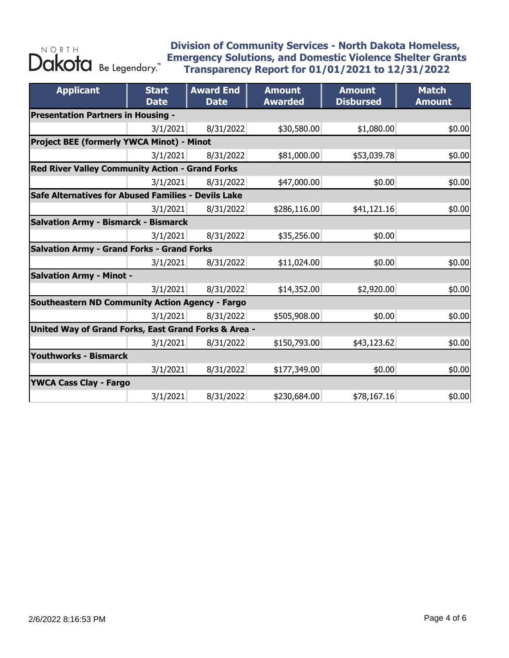| <b>Applicant</b>                                       | <b>Start</b><br><b>Date</b> | <b>Award End</b><br><b>Date</b> | <b>Amount</b><br><b>Awarded</b> | <b>Amount</b><br><b>Disbursed</b> | <b>Match</b><br><b>Amount</b> |  |  |
|--------------------------------------------------------|-----------------------------|---------------------------------|---------------------------------|-----------------------------------|-------------------------------|--|--|
| <b>Presentation Partners in Housing -</b>              |                             |                                 |                                 |                                   |                               |  |  |
|                                                        | 3/1/2021                    | 8/31/2022                       | \$30,580.00                     | \$1,080.00                        | \$0.00                        |  |  |
| Project BEE (formerly YWCA Minot) - Minot              |                             |                                 |                                 |                                   |                               |  |  |
|                                                        | 3/1/2021                    | 8/31/2022                       | \$81,000.00                     | \$53,039.78                       | \$0.00                        |  |  |
| <b>Red River Valley Community Action - Grand Forks</b> |                             |                                 |                                 |                                   |                               |  |  |
|                                                        | 3/1/2021                    | 8/31/2022                       | \$47,000.00                     | \$0.00                            | \$0.00                        |  |  |
| Safe Alternatives for Abused Families - Devils Lake    |                             |                                 |                                 |                                   |                               |  |  |
|                                                        | 3/1/2021                    | 8/31/2022                       | \$286,116.00                    | \$41,121.16                       | \$0.00                        |  |  |
| <b>Salvation Army - Bismarck - Bismarck</b>            |                             |                                 |                                 |                                   |                               |  |  |
|                                                        | 3/1/2021                    | 8/31/2022                       | \$35,256.00                     | \$0.00                            |                               |  |  |
| <b>Salvation Army - Grand Forks - Grand Forks</b>      |                             |                                 |                                 |                                   |                               |  |  |
|                                                        | 3/1/2021                    | 8/31/2022                       | \$11,024.00                     | \$0.00                            | \$0.00                        |  |  |
| <b>Salvation Army - Minot -</b>                        |                             |                                 |                                 |                                   |                               |  |  |
|                                                        | 3/1/2021                    | 8/31/2022                       | \$14,352.00                     | \$2,920.00                        | \$0.00                        |  |  |
| Southeastern ND Community Action Agency - Fargo        |                             |                                 |                                 |                                   |                               |  |  |
|                                                        | 3/1/2021                    | 8/31/2022                       | \$505,908.00                    | \$0.00                            | \$0.00                        |  |  |
| United Way of Grand Forks, East Grand Forks & Area -   |                             |                                 |                                 |                                   |                               |  |  |
|                                                        | 3/1/2021                    | 8/31/2022                       | \$150,793.00                    | \$43,123.62                       | \$0.00                        |  |  |
| <b>Youthworks - Bismarck</b>                           |                             |                                 |                                 |                                   |                               |  |  |
|                                                        | 3/1/2021                    | 8/31/2022                       | \$177,349.00                    | \$0.00                            | \$0.00                        |  |  |
| <b>YWCA Cass Clay - Fargo</b>                          |                             |                                 |                                 |                                   |                               |  |  |
|                                                        | 3/1/2021                    | 8/31/2022                       | \$230,684.00                    | \$78,167.16                       | \$0.00                        |  |  |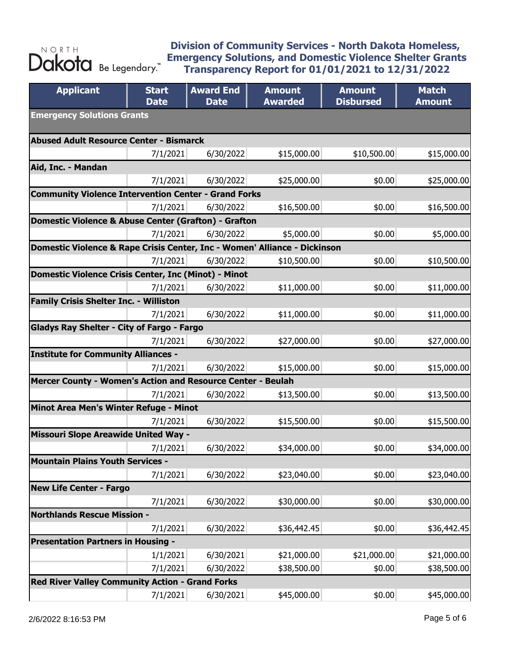| <b>Applicant</b>                                                          | <b>Start</b><br><b>Date</b> | <b>Award End</b><br><b>Date</b> | <b>Amount</b><br><b>Awarded</b> | <b>Amount</b><br><b>Disbursed</b> | <b>Match</b><br><b>Amount</b> |  |
|---------------------------------------------------------------------------|-----------------------------|---------------------------------|---------------------------------|-----------------------------------|-------------------------------|--|
| <b>Emergency Solutions Grants</b>                                         |                             |                                 |                                 |                                   |                               |  |
| <b>Abused Adult Resource Center - Bismarck</b>                            |                             |                                 |                                 |                                   |                               |  |
|                                                                           | 7/1/2021                    | 6/30/2022                       | \$15,000.00                     | \$10,500.00                       | \$15,000.00                   |  |
| Aid, Inc. - Mandan                                                        |                             |                                 |                                 |                                   |                               |  |
|                                                                           | 7/1/2021                    | 6/30/2022                       | \$25,000.00                     | \$0.00                            | \$25,000.00                   |  |
| <b>Community Violence Intervention Center - Grand Forks</b>               |                             |                                 |                                 |                                   |                               |  |
|                                                                           | 7/1/2021                    | 6/30/2022                       | \$16,500.00                     | \$0.00                            | \$16,500.00                   |  |
| Domestic Violence & Abuse Center (Grafton) - Grafton                      |                             |                                 |                                 |                                   |                               |  |
|                                                                           | 7/1/2021                    | 6/30/2022                       | \$5,000.00                      | \$0.00                            | \$5,000.00                    |  |
| Domestic Violence & Rape Crisis Center, Inc - Women' Alliance - Dickinson |                             |                                 |                                 |                                   |                               |  |
|                                                                           | 7/1/2021                    | 6/30/2022                       | \$10,500.00                     | \$0.00                            | \$10,500.00                   |  |
| Domestic Violence Crisis Center, Inc (Minot) - Minot                      |                             |                                 |                                 |                                   |                               |  |
|                                                                           | 7/1/2021                    | 6/30/2022                       | \$11,000.00                     | \$0.00                            | \$11,000.00                   |  |
| <b>Family Crisis Shelter Inc. - Williston</b>                             |                             |                                 |                                 |                                   |                               |  |
|                                                                           | 7/1/2021                    | 6/30/2022                       | \$11,000.00                     | \$0.00                            | \$11,000.00                   |  |
| <b>Gladys Ray Shelter - City of Fargo - Fargo</b>                         |                             |                                 |                                 |                                   |                               |  |
|                                                                           | 7/1/2021                    | 6/30/2022                       | \$27,000.00                     | \$0.00                            | \$27,000.00                   |  |
| <b>Institute for Community Alliances -</b>                                |                             |                                 |                                 |                                   |                               |  |
|                                                                           | 7/1/2021                    | 6/30/2022                       | \$15,000.00                     | \$0.00                            | \$15,000.00                   |  |
| Mercer County - Women's Action and Resource Center - Beulah               |                             |                                 |                                 |                                   |                               |  |
|                                                                           | 7/1/2021                    | 6/30/2022                       | \$13,500.00                     | \$0.00                            | \$13,500.00                   |  |
| Minot Area Men's Winter Refuge - Minot                                    |                             |                                 |                                 |                                   |                               |  |
|                                                                           | 7/1/2021                    | 6/30/2022                       | \$15,500.00                     | \$0.00                            | \$15,500.00                   |  |
| <b>Missouri Slope Areawide United Way -</b>                               |                             |                                 |                                 |                                   |                               |  |
|                                                                           | 7/1/2021                    | 6/30/2022                       | \$34,000.00                     | \$0.00                            | \$34,000.00                   |  |
| <b>Mountain Plains Youth Services -</b>                                   |                             |                                 |                                 |                                   |                               |  |
|                                                                           | 7/1/2021                    | 6/30/2022                       | \$23,040.00                     | \$0.00                            | \$23,040.00                   |  |
| <b>New Life Center - Fargo</b>                                            |                             |                                 |                                 |                                   |                               |  |
|                                                                           | 7/1/2021                    | 6/30/2022                       | \$30,000.00                     | \$0.00                            | \$30,000.00                   |  |
| <b>Northlands Rescue Mission -</b>                                        |                             |                                 |                                 |                                   |                               |  |
|                                                                           | 7/1/2021                    | 6/30/2022                       | \$36,442.45                     | \$0.00                            | \$36,442.45                   |  |
| <b>Presentation Partners in Housing -</b>                                 |                             |                                 |                                 |                                   |                               |  |
|                                                                           | 1/1/2021                    | 6/30/2021<br>6/30/2022          | \$21,000.00                     | \$21,000.00<br>\$0.00             | \$21,000.00<br>\$38,500.00    |  |
| <b>Red River Valley Community Action - Grand Forks</b>                    | 7/1/2021                    |                                 | \$38,500.00                     |                                   |                               |  |
|                                                                           |                             |                                 | \$45,000.00                     |                                   |                               |  |
|                                                                           | 7/1/2021                    | 6/30/2021                       |                                 | \$0.00                            | \$45,000.00                   |  |